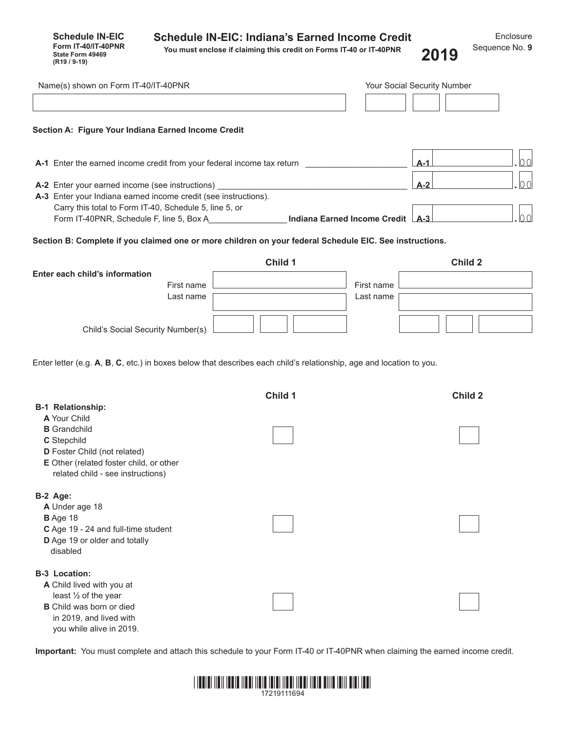| <b>Schedule IN-EIC: Indiana's Earned Income Credit</b> |  |
|--------------------------------------------------------|--|
|--------------------------------------------------------|--|

**Schedule IN-EIC Form IT-40/IT-40PNR State Form 49469**<br>**(R19 / 9-19)** 

**You must enclose if claiming this credit on Forms IT-40 or IT-40PNR (R19 / 9-19) 2019**

| Name(s) shown on Form IT-40/IT-40PNR                                                                                                                                 |         |                         | Your Social Security Number |    |
|----------------------------------------------------------------------------------------------------------------------------------------------------------------------|---------|-------------------------|-----------------------------|----|
| Section A: Figure Your Indiana Earned Income Credit                                                                                                                  |         |                         |                             |    |
| <b>A-1</b> Enter the earned income credit from your federal income tax return                                                                                        |         |                         | $A-1$                       | 00 |
| A-2 Enter your earned income (see instructions)<br>A-3 Enter your Indiana earned income credit (see instructions).                                                   |         |                         | $A-2$                       | 00 |
| Carry this total to Form IT-40, Schedule 5, line 5, or                                                                                                               |         |                         |                             | 00 |
| Section B: Complete if you claimed one or more children on your federal Schedule EIC. See instructions.                                                              |         |                         |                             |    |
| Enter each child's information<br>First name<br>Last name                                                                                                            | Child 1 | First name<br>Last name | Child 2                     |    |
| Child's Social Security Number(s)                                                                                                                                    |         |                         |                             |    |
| Enter letter (e.g. A, B, C, etc.) in boxes below that describes each child's relationship, age and location to you.<br><b>B-1 Relationship:</b><br>A Your Child      | Child 1 |                         | <b>Child 2</b>              |    |
| <b>B</b> Grandchild<br>C Stepchild<br>D Foster Child (not related)<br>E Other (related foster child, or other<br>related child - see instructions)                   |         |                         |                             |    |
| B-2 Age:<br>A Under age 18<br>B Age 18<br>C Age 19 - 24 and full-time student<br>D Age 19 or older and totally<br>disabled                                           |         |                         |                             |    |
| <b>B-3 Location:</b><br>A Child lived with you at<br>least 1/2 of the year<br><b>B</b> Child was born or died<br>in 2019, and lived with<br>you while alive in 2019. |         |                         |                             |    |

**Important:** You must complete and attach this schedule to your Form IT-40 or IT-40PNR when claiming the earned income credit.